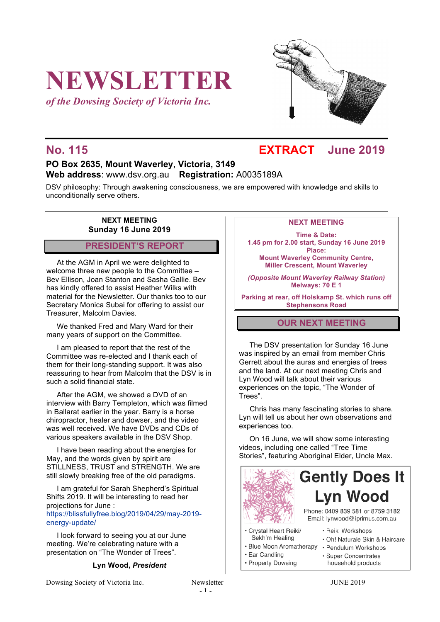# **NEWSLETTER**

*of the Dowsing Society of Victoria Inc.*



## **No. 115 EXTRACT June 2019**

### **PO Box 2635, Mount Waverley, Victoria, 3149 Web address**: www.dsv.org.au **Registration:** A0035189A

DSV philosophy: Through awakening consciousness, we are empowered with knowledge and skills to unconditionally serve others.

#### **NEXT MEETING Sunday 16 June 2019**

#### **PRESIDENT'S REPORT**

At the AGM in April we were delighted to welcome three new people to the Committee – Bev Ellison, Joan Stanton and Sasha Gallie. Bev has kindly offered to assist Heather Wilks with material for the Newsletter. Our thanks too to our Secretary Monica Subai for offering to assist our Treasurer, Malcolm Davies.

We thanked Fred and Mary Ward for their many years of support on the Committee.

I am pleased to report that the rest of the Committee was re-elected and I thank each of them for their long-standing support. It was also reassuring to hear from Malcolm that the DSV is in such a solid financial state.

After the AGM, we showed a DVD of an interview with Barry Templeton, which was filmed in Ballarat earlier in the year. Barry is a horse chiropractor, healer and dowser, and the video was well received. We have DVDs and CDs of various speakers available in the DSV Shop.

I have been reading about the energies for May, and the words given by spirit are STILLNESS, TRUST and STRENGTH. We are still slowly breaking free of the old paradigms.

I am grateful for Sarah Shepherd's Spiritual Shifts 2019. It will be interesting to read her projections for June :

https://blissfullyfree.blog/2019/04/29/may-2019 energy-update/

I look forward to seeing you at our June meeting. We're celebrating nature with a presentation on "The Wonder of Trees".

#### **Lyn Wood,** *President*

#### **NEXT MEETING**

**Time & Date: 1.45 pm for 2.00 start, Sunday 16 June 2019 Place: Mount Waverley Community Centre,**

**Miller Crescent, Mount Waverley**

*(Opposite Mount Waverley Railway Station)* **Melways: 70 E 1**

**Parking at rear, off Holskamp St. which runs off Stephensons Road**

#### **OUR NEXT MEETING**

The DSV presentation for Sunday 16 June was inspired by an email from member Chris Gerrett about the auras and energies of trees and the land. At our next meeting Chris and Lyn Wood will talk about their various experiences on the topic, "The Wonder of Trees".

Chris has many fascinating stories to share. Lyn will tell us about her own observations and experiences too.

On 16 June, we will show some interesting videos, including one called "Tree Time Stories", featuring Aboriginal Elder, Uncle Max.



- 
- Property Dowsing

household products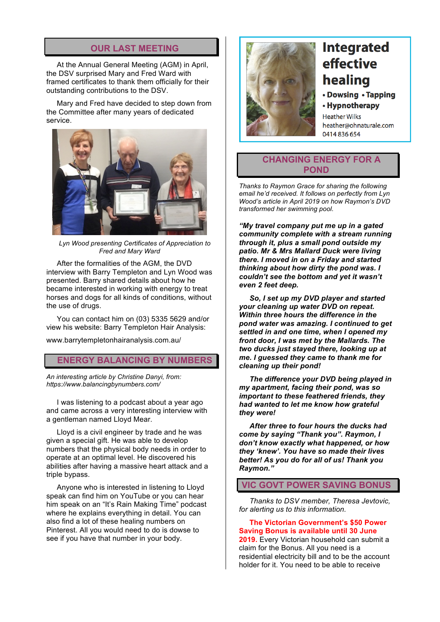#### **OUR LAST MEETING**

At the Annual General Meeting (AGM) in April, the DSV surprised Mary and Fred Ward with framed certificates to thank them officially for their outstanding contributions to the DSV.

Mary and Fred have decided to step down from the Committee after many years of dedicated service.



*Lyn Wood presenting Certificates of Appreciation to Fred and Mary Ward*

After the formalities of the AGM, the DVD interview with Barry Templeton and Lyn Wood was presented. Barry shared details about how he became interested in working with energy to treat horses and dogs for all kinds of conditions, without the use of drugs.

You can contact him on (03) 5335 5629 and/or view his website: Barry Templeton Hair Analysis:

www.barrytempletonhairanalysis.com.au/

#### **ENERGY BALANCING BY NUMBERS**

*An interesting article by Christine Danyi, from: https://www.balancingbynumbers.com/*

I was listening to a podcast about a year ago and came across a very interesting interview with a gentleman named Lloyd Mear.

Lloyd is a civil engineer by trade and he was given a special gift. He was able to develop numbers that the physical body needs in order to operate at an optimal level. He discovered his abilities after having a massive heart attack and a triple bypass.

Anyone who is interested in listening to Lloyd speak can find him on YouTube or you can hear him speak on an "It's Rain Making Time" podcast where he explains everything in detail. You can also find a lot of these healing numbers on Pinterest. All you would need to do is dowse to see if you have that number in your body.



# **Integrated** effective healing

• Dowsing • Tapping

• Hypnotherapy

**Heather Wilks** heather@ohnaturale.com 0414 836 654

#### **CHANGING ENERGY FOR A POND**

*Thanks to Raymon Grace for sharing the following email he'd received. It follows on perfectly from Lyn Wood's article in April 2019 on how Raymon's DVD transformed her swimming pool.*

*"My travel company put me up in a gated community complete with a stream running through it, plus a small pond outside my patio. Mr & Mrs Mallard Duck were living there. I moved in on a Friday and started thinking about how dirty the pond was. I couldn't see the bottom and yet it wasn't even 2 feet deep.*

*So, I set up my DVD player and started your cleaning up water DVD on repeat. Within three hours the difference in the pond water was amazing. I continued to get settled in and one time, when I opened my front door, I was met by the Mallards. The two ducks just stayed there, looking up at me. I guessed they came to thank me for cleaning up their pond!*

*The difference your DVD being played in my apartment, facing their pond, was so important to these feathered friends, they had wanted to let me know how grateful they were!*

*After three to four hours the ducks had come by saying "Thank you". Raymon, I don't know exactly what happened, or how they 'knew'. You have so made their lives better! As you do for all of us! Thank you Raymon."*

#### **VIC GOVT POWER SAVING BONUS**

*Thanks to DSV member, Theresa Jevtovic, for alerting us to this information.*

**The Victorian Government's \$50 Power Saving Bonus is available until 30 June** 

**2019.** Every Victorian household can submit a claim for the Bonus. All you need is a residential electricity bill and to be the account holder for it. You need to be able to receive